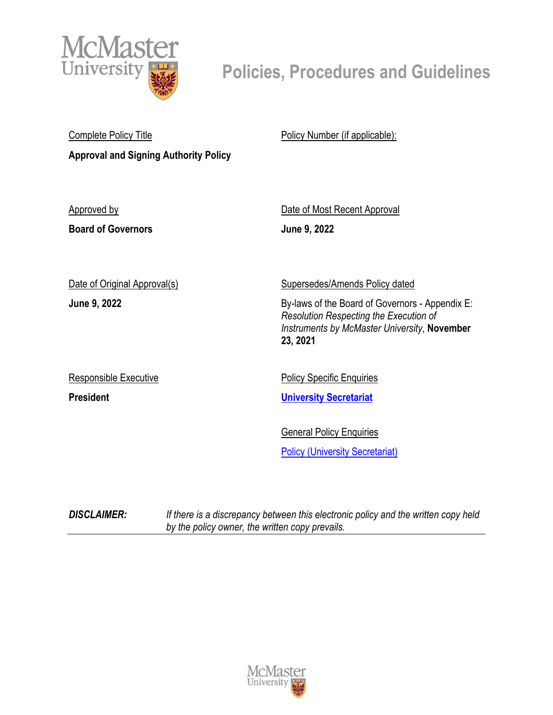

# **Policies, Procedures and Guidelines**

| <b>Complete Policy Title</b>                 | Policy Number (if applicable):                                                                                                                        |
|----------------------------------------------|-------------------------------------------------------------------------------------------------------------------------------------------------------|
| <b>Approval and Signing Authority Policy</b> |                                                                                                                                                       |
|                                              |                                                                                                                                                       |
| <b>Approved by</b>                           | Date of Most Recent Approval                                                                                                                          |
| <b>Board of Governors</b>                    | June 9, 2022                                                                                                                                          |
| Date of Original Approval(s)                 | <b>Supersedes/Amends Policy dated</b>                                                                                                                 |
| June 9, 2022                                 | By-laws of the Board of Governors - Appendix E:<br>Resolution Respecting the Execution of<br>Instruments by McMaster University, November<br>23, 2021 |
| Responsible Executive                        | <b>Policy Specific Enquiries</b>                                                                                                                      |
| <b>President</b>                             | <b>University Secretariat</b>                                                                                                                         |
|                                              | <b>General Policy Enquiries</b><br><b>Policy (University Secretariat)</b>                                                                             |
|                                              |                                                                                                                                                       |

*DISCLAIMER: If there is a discrepancy between this electronic policy and the written copy held by the policy owner, the written copy prevails.*

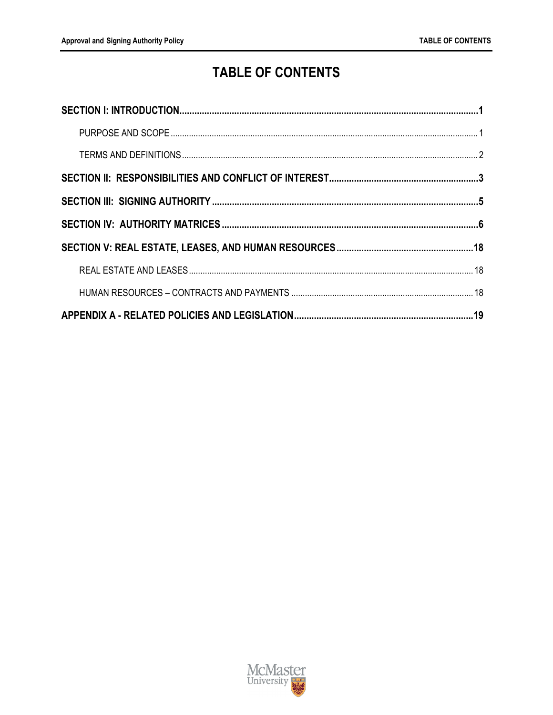## **TABLE OF CONTENTS**

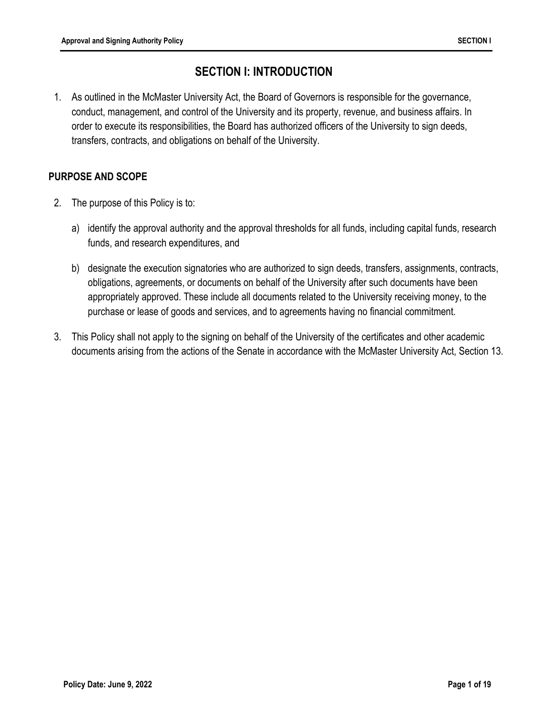## **SECTION I: INTRODUCTION**

1. As outlined in the McMaster University Act, the Board of Governors is responsible for the governance, conduct, management, and control of the University and its property, revenue, and business affairs. In order to execute its responsibilities, the Board has authorized officers of the University to sign deeds, transfers, contracts, and obligations on behalf of the University.

#### **PURPOSE AND SCOPE**

- 2. The purpose of this Policy is to:
	- a) identify the approval authority and the approval thresholds for all funds, including capital funds, research funds, and research expenditures, and
	- b) designate the execution signatories who are authorized to sign deeds, transfers, assignments, contracts, obligations, agreements, or documents on behalf of the University after such documents have been appropriately approved. These include all documents related to the University receiving money, to the purchase or lease of goods and services, and to agreements having no financial commitment.
- 3. This Policy shall not apply to the signing on behalf of the University of the certificates and other academic documents arising from the actions of the Senate in accordance with the McMaster University Act, Section 13.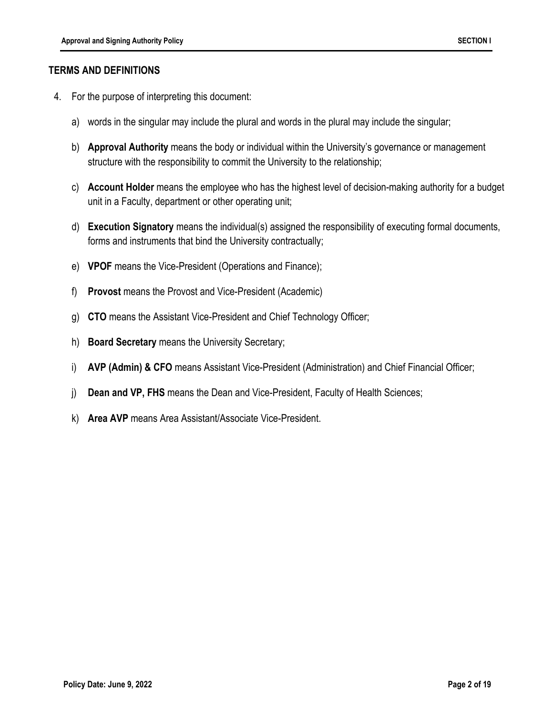#### **TERMS AND DEFINITIONS**

- 4. For the purpose of interpreting this document:
	- a) words in the singular may include the plural and words in the plural may include the singular;
	- b) **Approval Authority** means the body or individual within the University's governance or management structure with the responsibility to commit the University to the relationship;
	- c) **Account Holder** means the employee who has the highest level of decision-making authority for a budget unit in a Faculty, department or other operating unit;
	- d) **Execution Signatory** means the individual(s) assigned the responsibility of executing formal documents, forms and instruments that bind the University contractually;
	- e) **VPOF** means the Vice-President (Operations and Finance);
	- f) **Provost** means the Provost and Vice-President (Academic)
	- g) **CTO** means the Assistant Vice-President and Chief Technology Officer;
	- h) **Board Secretary** means the University Secretary;
	- i) **AVP (Admin) & CFO** means Assistant Vice-President (Administration) and Chief Financial Officer;
	- j) **Dean and VP, FHS** means the Dean and Vice-President, Faculty of Health Sciences;
	- k) **Area AVP** means Area Assistant/Associate Vice-President.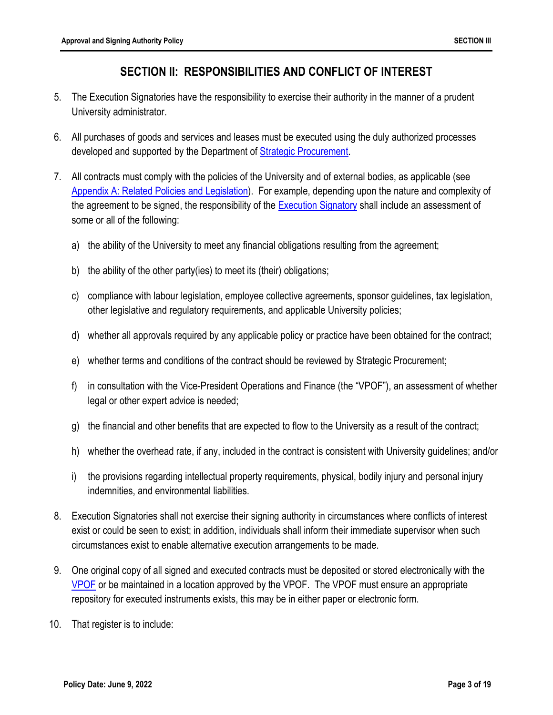### **SECTION II: RESPONSIBILITIES AND CONFLICT OF INTEREST**

- 5. The Execution Signatories have the responsibility to exercise their authority in the manner of a prudent University administrator.
- 6. All purchases of goods and services and leases must be executed using the duly authorized processes developed and supported by the Department of Strategic Procurement.
- 7. All contracts must comply with the policies of the University and of external bodies, as applicable (see Appendix A: Related Policies and Legislation). For example, depending upon the nature and complexity of the agreement to be signed, the responsibility of the Execution Signatory shall include an assessment of some or all of the following:
	- a) the ability of the University to meet any financial obligations resulting from the agreement;
	- b) the ability of the other party(ies) to meet its (their) obligations;
	- c) compliance with labour legislation, employee collective agreements, sponsor guidelines, tax legislation, other legislative and regulatory requirements, and applicable University policies;
	- d) whether all approvals required by any applicable policy or practice have been obtained for the contract;
	- e) whether terms and conditions of the contract should be reviewed by Strategic Procurement;
	- f) in consultation with the Vice-President Operations and Finance (the "VPOF"), an assessment of whether legal or other expert advice is needed;
	- g) the financial and other benefits that are expected to flow to the University as a result of the contract;
	- h) whether the overhead rate, if any, included in the contract is consistent with University guidelines; and/or
	- i) the provisions regarding intellectual property requirements, physical, bodily injury and personal injury indemnities, and environmental liabilities.
- 8. Execution Signatories shall not exercise their signing authority in circumstances where conflicts of interest exist or could be seen to exist; in addition, individuals shall inform their immediate supervisor when such circumstances exist to enable alternative execution arrangements to be made.
- 9. One original copy of all signed and executed contracts must be deposited or stored electronically with the VPOF or be maintained in a location approved by the VPOF. The VPOF must ensure an appropriate repository for executed instruments exists, this may be in either paper or electronic form.
- 10. That register is to include: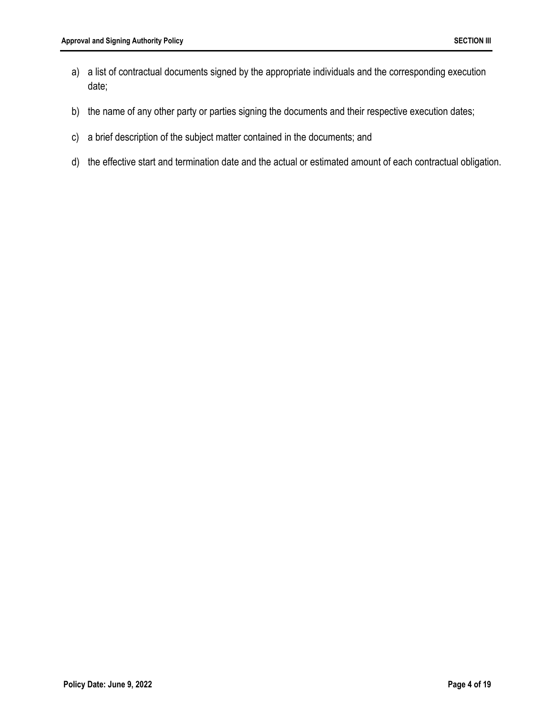- a) a list of contractual documents signed by the appropriate individuals and the corresponding execution date;
- b) the name of any other party or parties signing the documents and their respective execution dates;
- c) a brief description of the subject matter contained in the documents; and
- d) the effective start and termination date and the actual or estimated amount of each contractual obligation.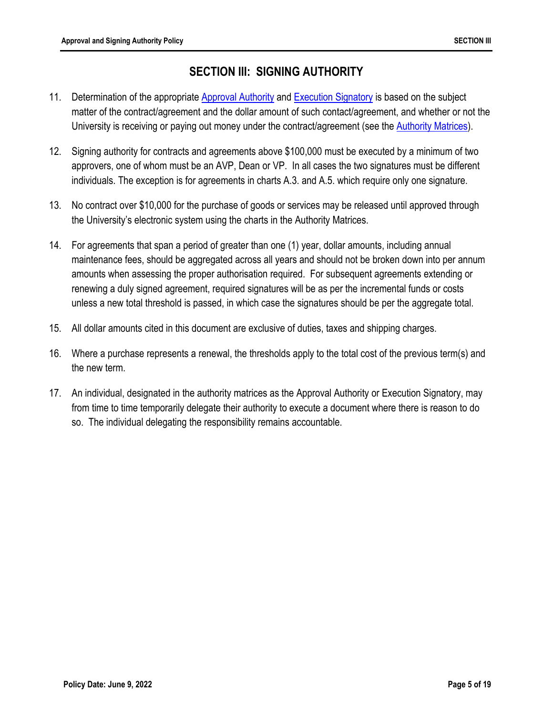## **SECTION III: SIGNING AUTHORITY**

- 11. Determination of the appropriate Approval Authority and Execution Signatory is based on the subject matter of the contract/agreement and the dollar amount of such contact/agreement, and whether or not the University is receiving or paying out money under the contract/agreement (see the Authority Matrices).
- 12. Signing authority for contracts and agreements above \$100,000 must be executed by a minimum of two approvers, one of whom must be an AVP, Dean or VP. In all cases the two signatures must be different individuals. The exception is for agreements in charts A.3. and A.5. which require only one signature.
- 13. No contract over \$10,000 for the purchase of goods or services may be released until approved through the University's electronic system using the charts in the Authority Matrices.
- 14. For agreements that span a period of greater than one (1) year, dollar amounts, including annual maintenance fees, should be aggregated across all years and should not be broken down into per annum amounts when assessing the proper authorisation required. For subsequent agreements extending or renewing a duly signed agreement, required signatures will be as per the incremental funds or costs unless a new total threshold is passed, in which case the signatures should be per the aggregate total.
- 15. All dollar amounts cited in this document are exclusive of duties, taxes and shipping charges.
- 16. Where a purchase represents a renewal, the thresholds apply to the total cost of the previous term(s) and the new term.
- 17. An individual, designated in the authority matrices as the Approval Authority or Execution Signatory, may from time to time temporarily delegate their authority to execute a document where there is reason to do so. The individual delegating the responsibility remains accountable.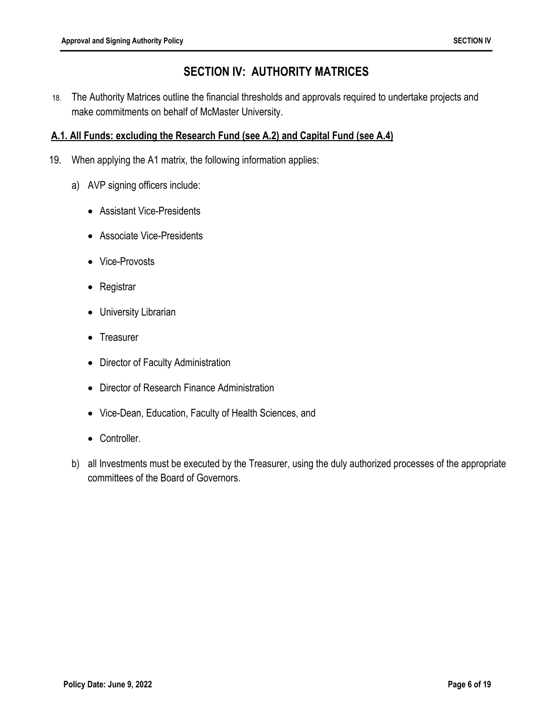## **SECTION IV: AUTHORITY MATRICES**

18. The Authority Matrices outline the financial thresholds and approvals required to undertake projects and make commitments on behalf of McMaster University.

#### **A.1. All Funds: excluding the Research Fund (see A.2) and Capital Fund (see A.4)**

- 19. When applying the A1 matrix, the following information applies:
	- a) AVP signing officers include:
		- Assistant Vice-Presidents
		- Associate Vice-Presidents
		- Vice-Provosts
		- Registrar
		- University Librarian
		- Treasurer
		- Director of Faculty Administration
		- Director of Research Finance Administration
		- Vice-Dean, Education, Faculty of Health Sciences, and
		- Controller.
	- b) all Investments must be executed by the Treasurer, using the duly authorized processes of the appropriate committees of the Board of Governors.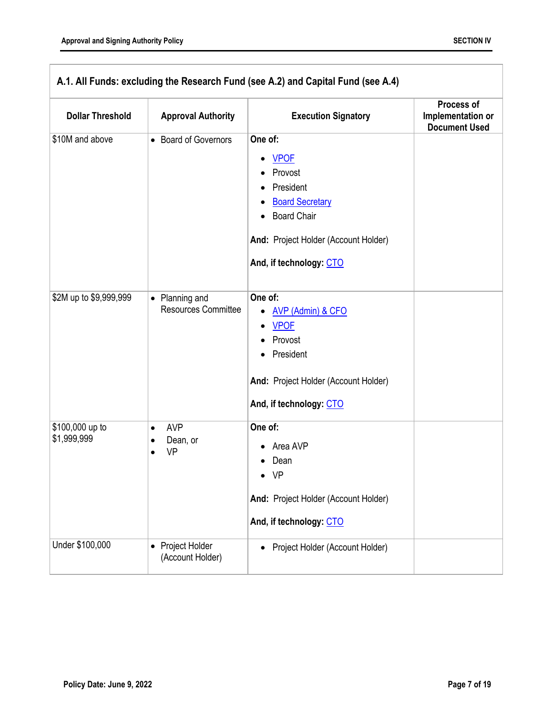| A.1. All Funds: excluding the Research Fund (see A.2) and Capital Fund (see A.4) |                                                       |                                                                                                                                                                                  |                                                         |
|----------------------------------------------------------------------------------|-------------------------------------------------------|----------------------------------------------------------------------------------------------------------------------------------------------------------------------------------|---------------------------------------------------------|
| <b>Dollar Threshold</b>                                                          | <b>Approval Authority</b>                             | <b>Execution Signatory</b>                                                                                                                                                       | Process of<br>Implementation or<br><b>Document Used</b> |
| \$10M and above                                                                  | • Board of Governors                                  | One of:<br><b>VPOF</b><br>٠<br>Provost<br>President<br><b>Board Secretary</b><br><b>Board Chair</b><br>And: Project Holder (Account Holder)<br>And, if technology: CTO           |                                                         |
| \$2M up to \$9,999,999                                                           | • Planning and<br><b>Resources Committee</b>          | One of:<br><b>AVP (Admin) &amp; CFO</b><br>$\bullet$<br><b>VPOF</b><br>٠<br>Provost<br>President<br>$\bullet$<br>And: Project Holder (Account Holder)<br>And, if technology: CTO |                                                         |
| \$100,000 up to<br>\$1,999,999                                                   | <b>AVP</b><br>$\bullet$<br>Dean, or<br><b>VP</b><br>٠ | One of:<br>Area AVP<br>Dean<br>VP<br>And: Project Holder (Account Holder)<br>And, if technology: CTO                                                                             |                                                         |
| Under \$100,000                                                                  | Project Holder<br>$\bullet$<br>(Account Holder)       | Project Holder (Account Holder)<br>٠                                                                                                                                             |                                                         |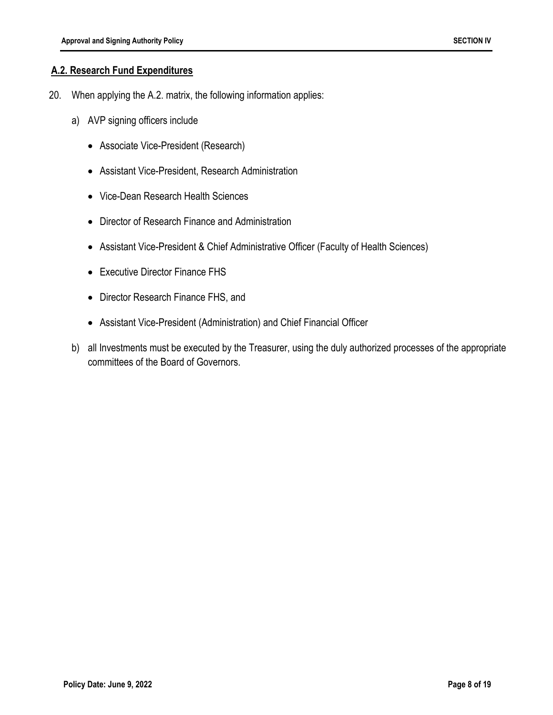#### **A.2. Research Fund Expenditures**

- 20. When applying the A.2. matrix, the following information applies:
	- a) AVP signing officers include
		- Associate Vice-President (Research)
		- Assistant Vice-President, Research Administration
		- Vice-Dean Research Health Sciences
		- Director of Research Finance and Administration
		- Assistant Vice-President & Chief Administrative Officer (Faculty of Health Sciences)
		- Executive Director Finance FHS
		- Director Research Finance FHS, and
		- Assistant Vice-President (Administration) and Chief Financial Officer
	- b) all Investments must be executed by the Treasurer, using the duly authorized processes of the appropriate committees of the Board of Governors.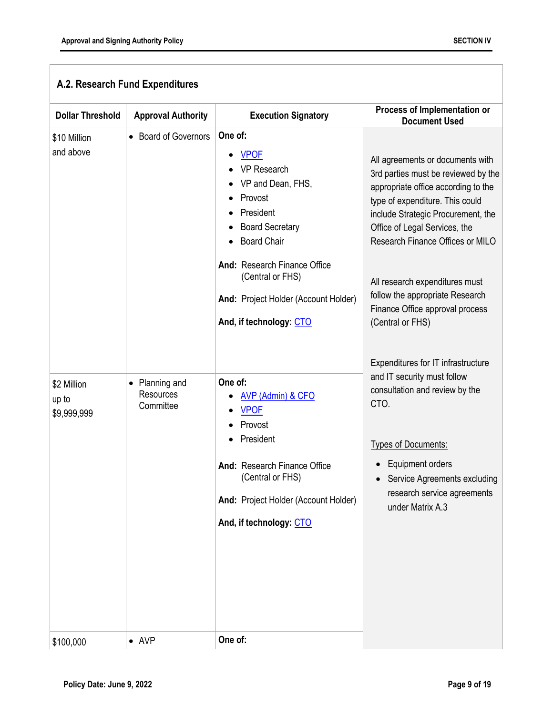| <b>Dollar Threshold</b>             | <b>Approval Authority</b>              | <b>Execution Signatory</b>                                                                                                                                                                                                                                | Process of Implementation or<br><b>Document Used</b>                                                                                                                                                                                                                                                                                                                                     |
|-------------------------------------|----------------------------------------|-----------------------------------------------------------------------------------------------------------------------------------------------------------------------------------------------------------------------------------------------------------|------------------------------------------------------------------------------------------------------------------------------------------------------------------------------------------------------------------------------------------------------------------------------------------------------------------------------------------------------------------------------------------|
| \$10 Million<br>and above           | <b>Board of Governors</b><br>$\bullet$ | One of:<br><b>VPOF</b><br>VP Research<br>VP and Dean, FHS,<br>Provost<br>President<br><b>Board Secretary</b><br><b>Board Chair</b><br>And: Research Finance Office<br>(Central or FHS)<br>And: Project Holder (Account Holder)<br>And, if technology: CTO | All agreements or documents with<br>3rd parties must be reviewed by the<br>appropriate office according to the<br>type of expenditure. This could<br>include Strategic Procurement, the<br>Office of Legal Services, the<br>Research Finance Offices or MILO<br>All research expenditures must<br>follow the appropriate Research<br>Finance Office approval process<br>(Central or FHS) |
| \$2 Million<br>up to<br>\$9,999,999 | Planning and<br>Resources<br>Committee | One of:<br><b>AVP (Admin) &amp; CFO</b><br><b>VPOF</b><br>Provost<br>President<br>And: Research Finance Office<br>(Central or FHS)<br>And: Project Holder (Account Holder)<br>And, if technology: CTO                                                     | Expenditures for IT infrastructure<br>and IT security must follow<br>consultation and review by the<br>CTO.<br><b>Types of Documents:</b><br><b>Equipment orders</b><br>• Service Agreements excluding<br>research service agreements<br>under Matrix A.3                                                                                                                                |
| \$100,000                           | $\bullet$ AVP                          | One of:                                                                                                                                                                                                                                                   |                                                                                                                                                                                                                                                                                                                                                                                          |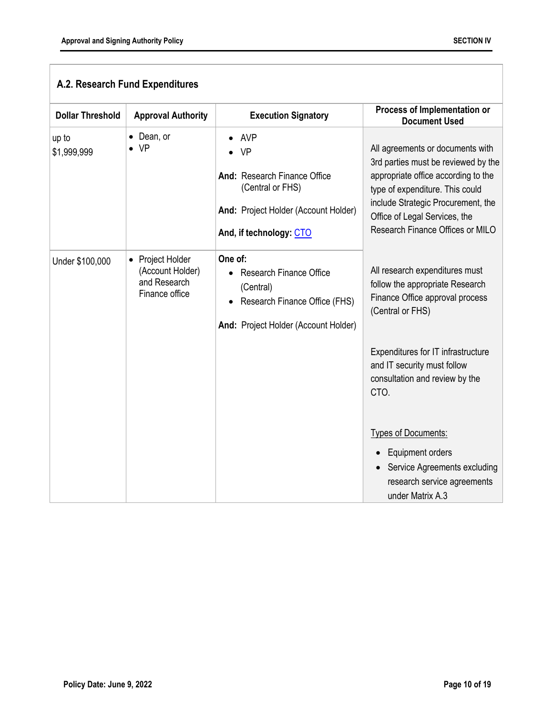| A.2. Research Fund Expenditures |                                                                                   |                                                                                                                                         |                                                                                                                                                                                                                                                              |
|---------------------------------|-----------------------------------------------------------------------------------|-----------------------------------------------------------------------------------------------------------------------------------------|--------------------------------------------------------------------------------------------------------------------------------------------------------------------------------------------------------------------------------------------------------------|
| <b>Dollar Threshold</b>         | <b>Approval Authority</b>                                                         | <b>Execution Signatory</b>                                                                                                              | Process of Implementation or<br><b>Document Used</b>                                                                                                                                                                                                         |
| up to<br>\$1,999,999            | Dean, or<br><b>VP</b>                                                             | AVP<br><b>VP</b><br>And: Research Finance Office<br>(Central or FHS)<br>And: Project Holder (Account Holder)<br>And, if technology: CTO | All agreements or documents with<br>3rd parties must be reviewed by the<br>appropriate office according to the<br>type of expenditure. This could<br>include Strategic Procurement, the<br>Office of Legal Services, the<br>Research Finance Offices or MILO |
| Under \$100,000                 | Project Holder<br>$\bullet$<br>(Account Holder)<br>and Research<br>Finance office | One of:<br><b>Research Finance Office</b><br>(Central)<br>Research Finance Office (FHS)<br>And: Project Holder (Account Holder)         | All research expenditures must<br>follow the appropriate Research<br>Finance Office approval process<br>(Central or FHS)<br>Expenditures for IT infrastructure<br>and IT security must follow<br>consultation and review by the<br>CTO.                      |
|                                 |                                                                                   |                                                                                                                                         | <b>Types of Documents:</b><br>Equipment orders<br>Service Agreements excluding<br>research service agreements<br>under Matrix A.3                                                                                                                            |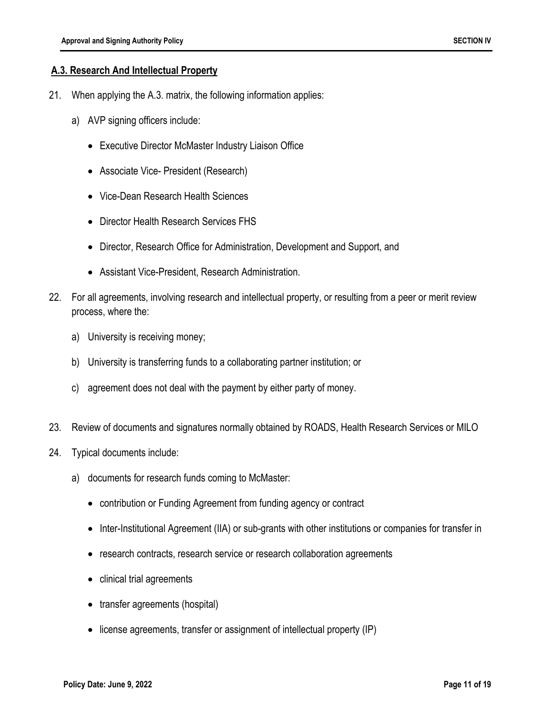#### **A.3. Research And Intellectual Property**

- 21. When applying the A.3. matrix, the following information applies:
	- a) AVP signing officers include:
		- Executive Director McMaster Industry Liaison Office
		- Associate Vice- President (Research)
		- Vice-Dean Research Health Sciences
		- Director Health Research Services FHS
		- Director, Research Office for Administration, Development and Support, and
		- Assistant Vice-President, Research Administration.
- 22. For all agreements, involving research and intellectual property, or resulting from a peer or merit review process, where the:
	- a) University is receiving money;
	- b) University is transferring funds to a collaborating partner institution; or
	- c) agreement does not deal with the payment by either party of money.
- 23. Review of documents and signatures normally obtained by ROADS, Health Research Services or MILO
- 24. Typical documents include:
	- a) documents for research funds coming to McMaster:
		- contribution or Funding Agreement from funding agency or contract
		- Inter-Institutional Agreement (IIA) or sub-grants with other institutions or companies for transfer in
		- research contracts, research service or research collaboration agreements
		- clinical trial agreements
		- transfer agreements (hospital)
		- license agreements, transfer or assignment of intellectual property (IP)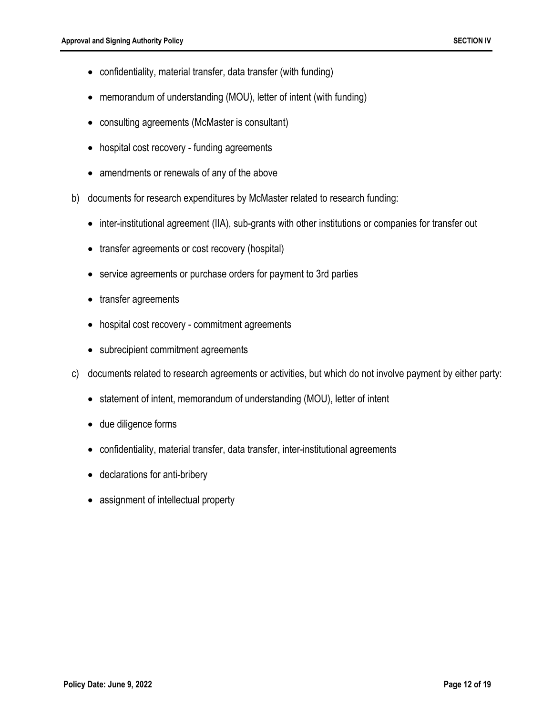- confidentiality, material transfer, data transfer (with funding)
- memorandum of understanding (MOU), letter of intent (with funding)
- consulting agreements (McMaster is consultant)
- hospital cost recovery funding agreements
- amendments or renewals of any of the above
- b) documents for research expenditures by McMaster related to research funding:
	- inter-institutional agreement (IIA), sub-grants with other institutions or companies for transfer out
	- transfer agreements or cost recovery (hospital)
	- service agreements or purchase orders for payment to 3rd parties
	- transfer agreements
	- hospital cost recovery commitment agreements
	- subrecipient commitment agreements
- c) documents related to research agreements or activities, but which do not involve payment by either party:
	- statement of intent, memorandum of understanding (MOU), letter of intent
	- due diligence forms
	- confidentiality, material transfer, data transfer, inter-institutional agreements
	- declarations for anti-bribery
	- assignment of intellectual property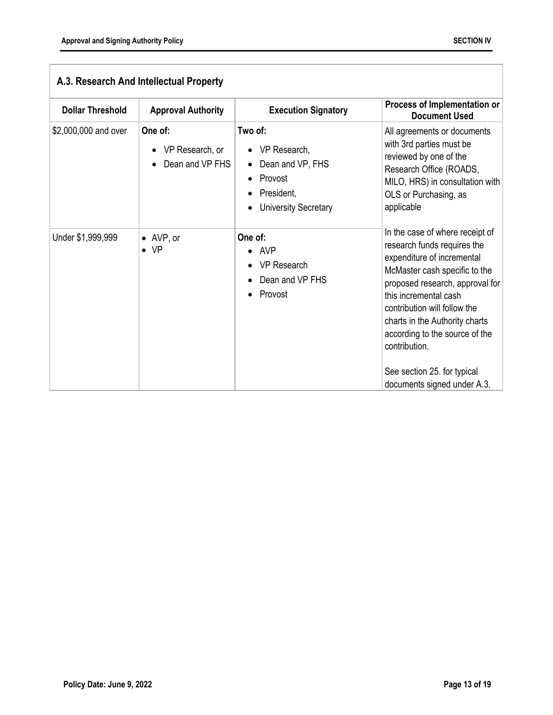| <b>Dollar Threshold</b> | <b>Approval Authority</b>                     | <b>Execution Signatory</b>                                                                                       | Process of Implementation or<br><b>Document Used</b>                                                                                                                                                                                                                                                                                                                         |
|-------------------------|-----------------------------------------------|------------------------------------------------------------------------------------------------------------------|------------------------------------------------------------------------------------------------------------------------------------------------------------------------------------------------------------------------------------------------------------------------------------------------------------------------------------------------------------------------------|
| \$2,000,000 and over    | One of:<br>VP Research, or<br>Dean and VP FHS | Two of:<br>VP Research,<br>Dean and VP, FHS<br>$\bullet$<br>Provost<br>President,<br><b>University Secretary</b> | All agreements or documents<br>with 3rd parties must be<br>reviewed by one of the<br>Research Office (ROADS,<br>MILO, HRS) in consultation with<br>OLS or Purchasing, as<br>applicable                                                                                                                                                                                       |
| Under \$1,999,999       | $\bullet$ AVP, or<br>$\bullet$ VP             | One of:<br>$\bullet$ AVP<br><b>VP Research</b><br>Dean and VP FHS<br>Provost                                     | In the case of where receipt of<br>research funds requires the<br>expenditure of incremental<br>McMaster cash specific to the<br>proposed research, approval for<br>this incremental cash<br>contribution will follow the<br>charts in the Authority charts<br>according to the source of the<br>contribution.<br>See section 25. for typical<br>documents signed under A.3. |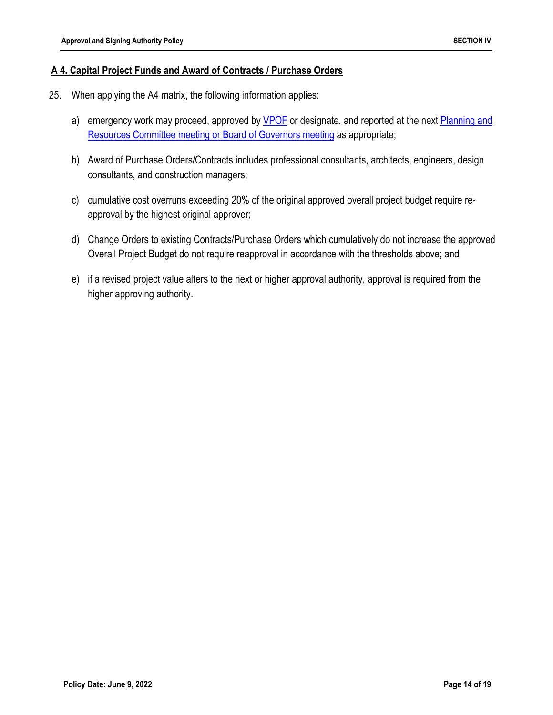#### **A 4. Capital Project Funds and Award of Contracts / Purchase Orders**

- 25. When applying the A4 matrix, the following information applies:
	- a) emergency work may proceed, approved by VPOF or designate, and reported at the next Planning and Resources Committee meeting or Board of Governors meeting as appropriate;
	- b) Award of Purchase Orders/Contracts includes professional consultants, architects, engineers, design consultants, and construction managers;
	- c) cumulative cost overruns exceeding 20% of the original approved overall project budget require reapproval by the highest original approver;
	- d) Change Orders to existing Contracts/Purchase Orders which cumulatively do not increase the approved Overall Project Budget do not require reapproval in accordance with the thresholds above; and
	- e) if a revised project value alters to the next or higher approval authority, approval is required from the higher approving authority.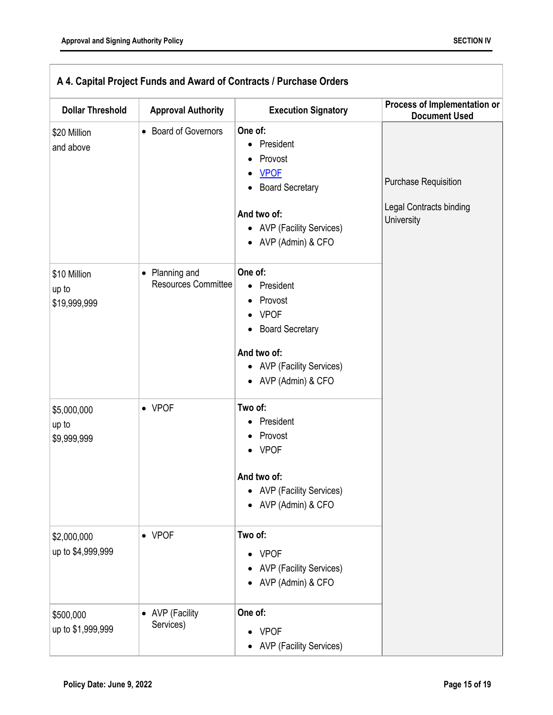| <b>Dollar Threshold</b>               | <b>Approval Authority</b>                               | <b>Execution Signatory</b>                                                                                                                                                              | Process of Implementation or<br><b>Document Used</b>                 |
|---------------------------------------|---------------------------------------------------------|-----------------------------------------------------------------------------------------------------------------------------------------------------------------------------------------|----------------------------------------------------------------------|
| \$20 Million<br>and above             | • Board of Governors                                    | One of:<br>President<br>Provost<br><b>VPOF</b><br>٠<br><b>Board Secretary</b><br>And two of:<br>• AVP (Facility Services)<br>• AVP (Admin) & CFO                                        | <b>Purchase Requisition</b><br>Legal Contracts binding<br>University |
| \$10 Million<br>up to<br>\$19,999,999 | Planning and<br>$\bullet$<br><b>Resources Committee</b> | One of:<br>President<br>$\bullet$<br>Provost<br>٠<br><b>VPOF</b><br>$\bullet$<br><b>Board Secretary</b><br>$\bullet$<br>And two of:<br>• AVP (Facility Services)<br>• AVP (Admin) & CFO |                                                                      |
| \$5,000,000<br>up to<br>\$9,999,999   | $\bullet$ VPOF                                          | Two of:<br>President<br>Provost<br>• VPOF<br>And two of:<br>• AVP (Facility Services)<br>• AVP (Admin) & CFO                                                                            |                                                                      |
| \$2,000,000<br>up to \$4,999,999      | $\bullet$ VPOF                                          | Two of:<br>• VPOF<br><b>AVP (Facility Services)</b><br>AVP (Admin) & CFO                                                                                                                |                                                                      |
| \$500,000<br>up to \$1,999,999        | <b>AVP</b> (Facility<br>$\bullet$<br>Services)          | One of:<br><b>VPOF</b><br><b>AVP (Facility Services)</b>                                                                                                                                |                                                                      |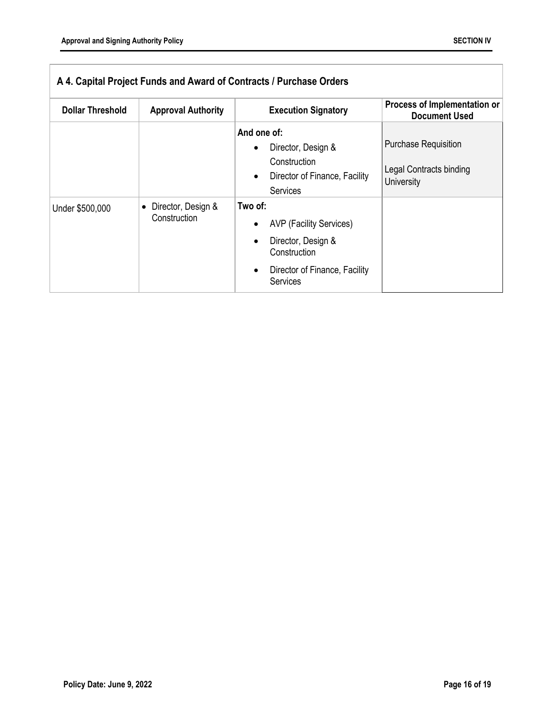| A 4. Capital Project Funds and Award of Contracts / Purchase Orders |                                                 |                                                                                                                                     |                                                                             |
|---------------------------------------------------------------------|-------------------------------------------------|-------------------------------------------------------------------------------------------------------------------------------------|-----------------------------------------------------------------------------|
| <b>Dollar Threshold</b>                                             | <b>Approval Authority</b>                       | <b>Execution Signatory</b>                                                                                                          | Process of Implementation or<br><b>Document Used</b>                        |
|                                                                     |                                                 | And one of:<br>Director, Design &<br>Construction<br>Director of Finance, Facility<br><b>Services</b>                               | <b>Purchase Requisition</b><br><b>Legal Contracts binding</b><br>University |
| Under \$500,000                                                     | Director, Design &<br>$\bullet$<br>Construction | Two of:<br><b>AVP (Facility Services)</b><br>Director, Design &<br>Construction<br>Director of Finance, Facility<br><b>Services</b> |                                                                             |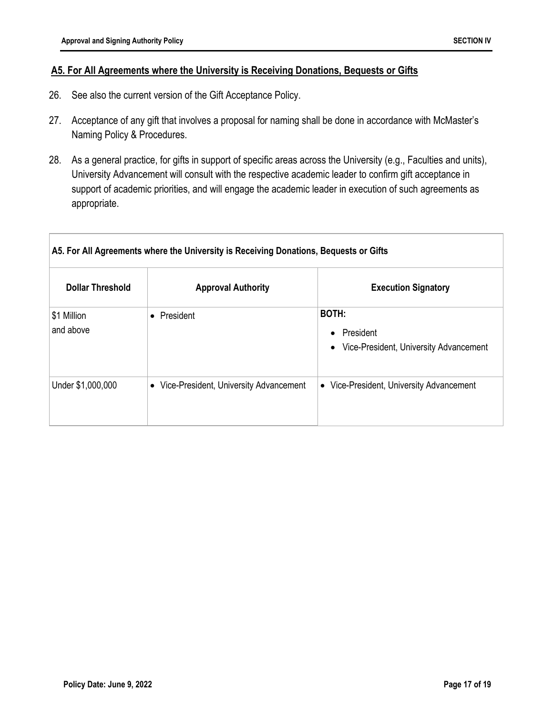#### **A5. For All Agreements where the University is Receiving Donations, Bequests or Gifts**

- 26. See also the current version of the Gift Acceptance Policy.
- 27. Acceptance of any gift that involves a proposal for naming shall be done in accordance with McMaster's Naming Policy & Procedures.
- 28. As a general practice, for gifts in support of specific areas across the University (e.g., Faculties and units), University Advancement will consult with the respective academic leader to confirm gift acceptance in support of academic priorities, and will engage the academic leader in execution of such agreements as appropriate.

| A5. For All Agreements where the University is Receiving Donations, Bequests or Gifts |                                                     |                                                                                               |  |
|---------------------------------------------------------------------------------------|-----------------------------------------------------|-----------------------------------------------------------------------------------------------|--|
| <b>Dollar Threshold</b>                                                               | <b>Approval Authority</b>                           | <b>Execution Signatory</b>                                                                    |  |
| \$1 Million<br>and above                                                              | President                                           | <b>BOTH:</b><br>President<br>$\bullet$<br>Vice-President, University Advancement<br>$\bullet$ |  |
| Under \$1,000,000                                                                     | Vice-President, University Advancement<br>$\bullet$ | Vice-President, University Advancement<br>$\bullet$                                           |  |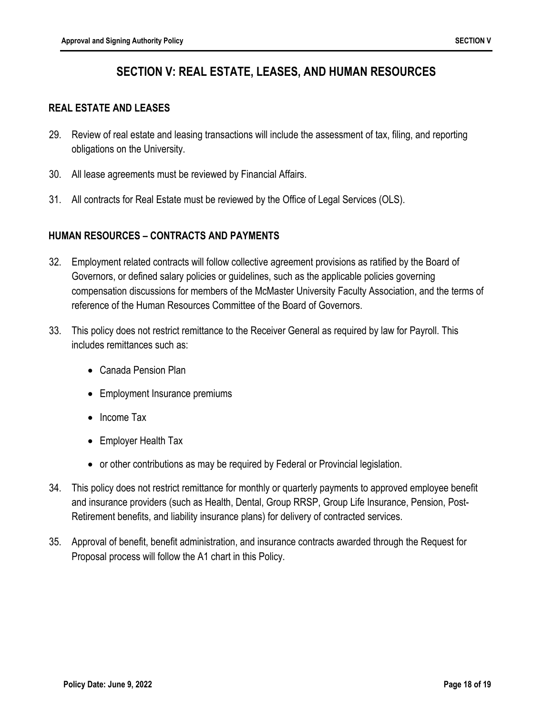## **SECTION V: REAL ESTATE, LEASES, AND HUMAN RESOURCES**

#### **REAL ESTATE AND LEASES**

- 29. Review of real estate and leasing transactions will include the assessment of tax, filing, and reporting obligations on the University.
- 30. All lease agreements must be reviewed by Financial Affairs.
- 31. All contracts for Real Estate must be reviewed by the Office of Legal Services (OLS).

#### **HUMAN RESOURCES – CONTRACTS AND PAYMENTS**

- 32. Employment related contracts will follow collective agreement provisions as ratified by the Board of Governors, or defined salary policies or guidelines, such as the applicable policies governing compensation discussions for members of the McMaster University Faculty Association, and the terms of reference of the Human Resources Committee of the Board of Governors.
- 33. This policy does not restrict remittance to the Receiver General as required by law for Payroll. This includes remittances such as:
	- Canada Pension Plan
	- Employment Insurance premiums
	- Income Tax
	- Employer Health Tax
	- or other contributions as may be required by Federal or Provincial legislation.
- 34. This policy does not restrict remittance for monthly or quarterly payments to approved employee benefit and insurance providers (such as Health, Dental, Group RRSP, Group Life Insurance, Pension, Post-Retirement benefits, and liability insurance plans) for delivery of contracted services.
- 35. Approval of benefit, benefit administration, and insurance contracts awarded through the Request for Proposal process will follow the A1 chart in this Policy.